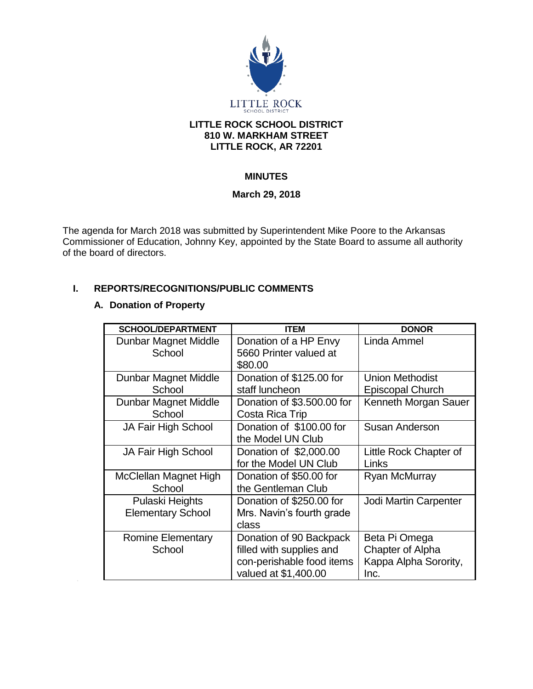

#### **LITTLE ROCK SCHOOL DISTRICT 810 W. MARKHAM STREET LITTLE ROCK, AR 72201**

# **MINUTES**

## **March 29, 2018**

The agenda for March 2018 was submitted by Superintendent Mike Poore to the Arkansas Commissioner of Education, Johnny Key, appointed by the State Board to assume all authority of the board of directors.

# **I. REPORTS/RECOGNITIONS/PUBLIC COMMENTS**

## **A. Donation of Property**

| <b>SCHOOL/DEPARTMENT</b>                    | <b>ITEM</b>                                                                                              | <b>DONOR</b>                                                       |
|---------------------------------------------|----------------------------------------------------------------------------------------------------------|--------------------------------------------------------------------|
| Dunbar Magnet Middle<br>School              | Donation of a HP Envy<br>5660 Printer valued at<br>\$80.00                                               | Linda Ammel                                                        |
| Dunbar Magnet Middle<br>School              | Donation of \$125.00 for<br>staff luncheon                                                               | <b>Union Methodist</b><br><b>Episcopal Church</b>                  |
| Dunbar Magnet Middle<br>School              | Donation of \$3.500.00 for<br>Costa Rica Trip                                                            | Kenneth Morgan Sauer                                               |
| JA Fair High School                         | Donation of \$100.00 for<br>the Model UN Club                                                            | Susan Anderson                                                     |
| JA Fair High School                         | Donation of \$2,000.00<br>for the Model UN Club                                                          | Little Rock Chapter of<br>Links                                    |
| McClellan Magnet High<br>School             | Donation of \$50.00 for<br>the Gentleman Club                                                            | <b>Ryan McMurray</b>                                               |
| Pulaski Heights<br><b>Elementary School</b> | Donation of \$250.00 for<br>Mrs. Navin's fourth grade<br>class                                           | Jodi Martin Carpenter                                              |
| <b>Romine Elementary</b><br>School          | Donation of 90 Backpack<br>filled with supplies and<br>con-perishable food items<br>valued at \$1,400.00 | Beta Pi Omega<br>Chapter of Alpha<br>Kappa Alpha Sorority,<br>Inc. |